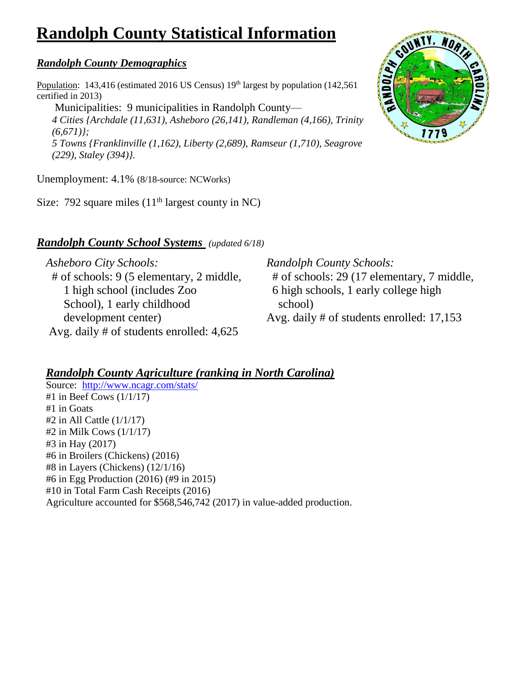# **Randolph County Statistical Information**

### *Randolph County Demographics*

Population: 143,416 (estimated 2016 US Census) 19<sup>th</sup> largest by population (142,561) certified in 2013)

Municipalities: 9 municipalities in Randolph County— *4 Cities {Archdale (11,631), Asheboro (26,141), Randleman (4,166), Trinity (6,671)}; 5 Towns {Franklinville (1,162), Liberty (2,689), Ramseur (1,710), Seagrove (229), Staley (394)}.*

Unemployment: 4.1% (8/18-source: NCWorks)

Size: 792 square miles  $(11<sup>th</sup>$  largest county in NC)

## *Randolph County School Systems (updated 6/18)*

*Asheboro City Schools:*  # of schools: 9 (5 elementary, 2 middle, 1 high school (includes Zoo School), 1 early childhood development center) Avg. daily # of students enrolled: 4,625

*Randolph County Schools:* # of schools: 29 (17 elementary, 7 middle, 6 high schools, 1 early college high school) Avg. daily # of students enrolled: 17,153

### *Randolph County Agriculture (ranking in North Carolina)*

Source: <http://www.ncagr.com/stats/> #1 in Beef Cows (1/1/17) #1 in Goats #2 in All Cattle (1/1/17) #2 in Milk Cows (1/1/17) #3 in Hay (2017) #6 in Broilers (Chickens) (2016) #8 in Layers (Chickens) (12/1/16) #6 in Egg Production (2016) (#9 in 2015) #10 in Total Farm Cash Receipts (2016) Agriculture accounted for \$568,546,742 (2017) in value-added production.